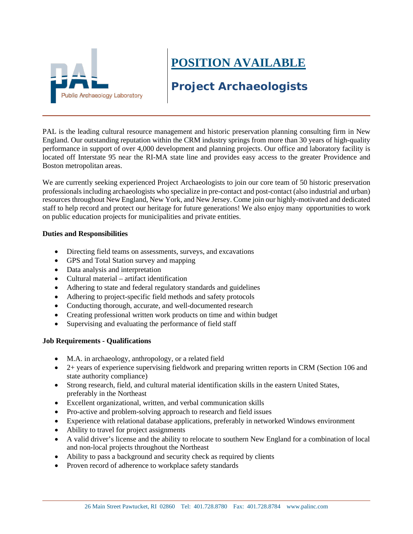

## **POSITION AVAILABLE**

## **Project Archaeologists**

PAL is the leading cultural resource management and historic preservation planning consulting firm in New England. Our outstanding reputation within the CRM industry springs from more than 30 years of high-quality performance in support of over 4,000 development and planning projects. Our office and laboratory facility is located off Interstate 95 near the RI-MA state line and provides easy access to the greater Providence and Boston metropolitan areas.

We are currently seeking experienced Project Archaeologists to join our core team of 50 historic preservation professionals including archaeologists who specialize in pre-contact and post-contact (also industrial and urban) resources throughout New England, New York, and New Jersey. Come join our highly-motivated and dedicated staff to help record and protect our heritage for future generations! We also enjoy many opportunities to work on public education projects for municipalities and private entities.

## **Duties and Responsibilities**

- Directing field teams on assessments, surveys, and excavations
- GPS and Total Station survey and mapping
- Data analysis and interpretation
- Cultural material artifact identification
- Adhering to state and federal regulatory standards and guidelines
- Adhering to project-specific field methods and safety protocols
- Conducting thorough, accurate, and well-documented research
- Creating professional written work products on time and within budget
- Supervising and evaluating the performance of field staff

## **Job Requirements - Qualifications**

- M.A. in archaeology, anthropology, or a related field
- 2+ years of experience supervising fieldwork and preparing written reports in CRM (Section 106 and state authority compliance)
- Strong research, field, and cultural material identification skills in the eastern United States, preferably in the Northeast
- Excellent organizational, written, and verbal communication skills
- Pro-active and problem-solving approach to research and field issues
- Experience with relational database applications, preferably in networked Windows environment
- Ability to travel for project assignments
- A valid driver's license and the ability to relocate to southern New England for a combination of local and non-local projects throughout the Northeast
- Ability to pass a background and security check as required by clients
- Proven record of adherence to workplace safety standards